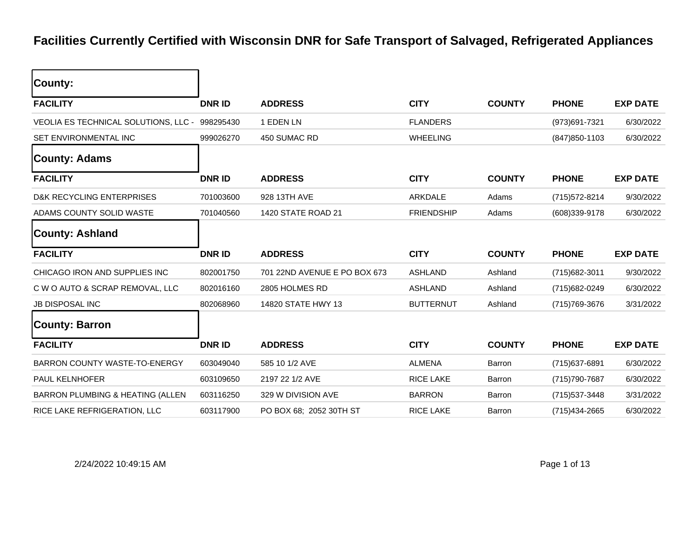## **Facilities Currently Certified with Wisconsin DNR for Safe Transport of Salvaged, Refrigerated Appliances**

| County:                              |               |                              |                   |               |                |                 |
|--------------------------------------|---------------|------------------------------|-------------------|---------------|----------------|-----------------|
| <b>FACILITY</b>                      | <b>DNR ID</b> | <b>ADDRESS</b>               | <b>CITY</b>       | <b>COUNTY</b> | <b>PHONE</b>   | <b>EXP DATE</b> |
| VEOLIA ES TECHNICAL SOLUTIONS, LLC - | 998295430     | 1 EDEN LN                    | <b>FLANDERS</b>   |               | (973)691-7321  | 6/30/2022       |
| SET ENVIRONMENTAL INC                | 999026270     | 450 SUMAC RD                 | <b>WHEELING</b>   |               | (847) 850-1103 | 6/30/2022       |
| <b>County: Adams</b>                 |               |                              |                   |               |                |                 |
| <b>FACILITY</b>                      | <b>DNR ID</b> | <b>ADDRESS</b>               | <b>CITY</b>       | <b>COUNTY</b> | <b>PHONE</b>   | <b>EXP DATE</b> |
| <b>D&amp;K RECYCLING ENTERPRISES</b> | 701003600     | 928 13TH AVE                 | ARKDALE           | Adams         | (715) 572-8214 | 9/30/2022       |
| ADAMS COUNTY SOLID WASTE             | 701040560     | 1420 STATE ROAD 21           | <b>FRIENDSHIP</b> | Adams         | (608)339-9178  | 6/30/2022       |
| <b>County: Ashland</b>               |               |                              |                   |               |                |                 |
|                                      |               |                              |                   |               |                |                 |
| <b>FACILITY</b>                      | <b>DNR ID</b> | <b>ADDRESS</b>               | <b>CITY</b>       | <b>COUNTY</b> | <b>PHONE</b>   | <b>EXP DATE</b> |
| CHICAGO IRON AND SUPPLIES INC        | 802001750     | 701 22ND AVENUE E PO BOX 673 | <b>ASHLAND</b>    | Ashland       | (715) 682-3011 | 9/30/2022       |
| C W O AUTO & SCRAP REMOVAL, LLC      | 802016160     | 2805 HOLMES RD               | <b>ASHLAND</b>    | Ashland       | (715) 682-0249 | 6/30/2022       |
| <b>JB DISPOSAL INC</b>               | 802068960     | 14820 STATE HWY 13           | <b>BUTTERNUT</b>  | Ashland       | (715) 769-3676 | 3/31/2022       |
| <b>County: Barron</b>                |               |                              |                   |               |                |                 |
| <b>FACILITY</b>                      | <b>DNRID</b>  | <b>ADDRESS</b>               | <b>CITY</b>       | <b>COUNTY</b> | <b>PHONE</b>   | <b>EXP DATE</b> |
| BARRON COUNTY WASTE-TO-ENERGY        | 603049040     | 585 10 1/2 AVE               | <b>ALMENA</b>     | <b>Barron</b> | (715) 637-6891 | 6/30/2022       |
| <b>PAUL KELNHOFER</b>                | 603109650     | 2197 22 1/2 AVE              | <b>RICE LAKE</b>  | <b>Barron</b> | (715) 790-7687 | 6/30/2022       |
| BARRON PLUMBING & HEATING (ALLEN     | 603116250     | 329 W DIVISION AVE           | <b>BARRON</b>     | <b>Barron</b> | (715) 537-3448 | 3/31/2022       |

2/24/2022 10:49:15 AM Page 1 of 13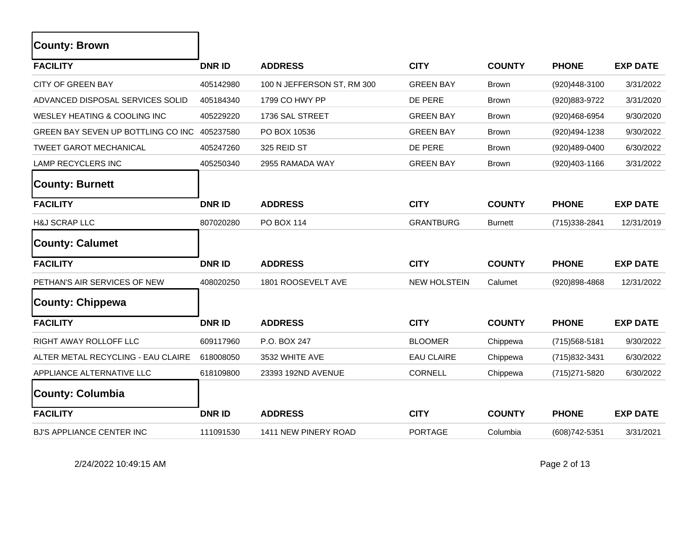| <b>County: Brown</b>               |               |                            |                     |                |                |                 |
|------------------------------------|---------------|----------------------------|---------------------|----------------|----------------|-----------------|
| <b>FACILITY</b>                    | <b>DNR ID</b> | <b>ADDRESS</b>             | <b>CITY</b>         | <b>COUNTY</b>  | <b>PHONE</b>   | <b>EXP DATE</b> |
| <b>CITY OF GREEN BAY</b>           | 405142980     | 100 N JEFFERSON ST, RM 300 | <b>GREEN BAY</b>    | <b>Brown</b>   | (920)448-3100  | 3/31/2022       |
| ADVANCED DISPOSAL SERVICES SOLID   | 405184340     | 1799 CO HWY PP             | DE PERE             | <b>Brown</b>   | (920)883-9722  | 3/31/2020       |
| WESLEY HEATING & COOLING INC       | 405229220     | 1736 SAL STREET            | <b>GREEN BAY</b>    | <b>Brown</b>   | (920)468-6954  | 9/30/2020       |
| GREEN BAY SEVEN UP BOTTLING CO INC | 405237580     | PO BOX 10536               | <b>GREEN BAY</b>    | <b>Brown</b>   | (920)494-1238  | 9/30/2022       |
| <b>TWEET GAROT MECHANICAL</b>      | 405247260     | 325 REID ST                | DE PERE             | <b>Brown</b>   | (920)489-0400  | 6/30/2022       |
| LAMP RECYCLERS INC                 | 405250340     | 2955 RAMADA WAY            | <b>GREEN BAY</b>    | <b>Brown</b>   | (920)403-1166  | 3/31/2022       |
| <b>County: Burnett</b>             |               |                            |                     |                |                |                 |
| <b>FACILITY</b>                    | <b>DNR ID</b> | <b>ADDRESS</b>             | <b>CITY</b>         | <b>COUNTY</b>  | <b>PHONE</b>   | <b>EXP DATE</b> |
| <b>H&amp;J SCRAP LLC</b>           | 807020280     | <b>PO BOX 114</b>          | <b>GRANTBURG</b>    | <b>Burnett</b> | (715) 338-2841 | 12/31/2019      |
| <b>County: Calumet</b>             |               |                            |                     |                |                |                 |
| <b>FACILITY</b>                    | <b>DNRID</b>  | <b>ADDRESS</b>             | <b>CITY</b>         | <b>COUNTY</b>  | <b>PHONE</b>   | <b>EXP DATE</b> |
| PETHAN'S AIR SERVICES OF NEW       | 408020250     | 1801 ROOSEVELT AVE         | <b>NEW HOLSTEIN</b> | Calumet        | (920)898-4868  | 12/31/2022      |
| County: Chippewa                   |               |                            |                     |                |                |                 |
| <b>FACILITY</b>                    | <b>DNR ID</b> | <b>ADDRESS</b>             | <b>CITY</b>         | <b>COUNTY</b>  | <b>PHONE</b>   | <b>EXP DATE</b> |
| RIGHT AWAY ROLLOFF LLC             | 609117960     | P.O. BOX 247               | <b>BLOOMER</b>      | Chippewa       | (715) 568-5181 | 9/30/2022       |
| ALTER METAL RECYCLING - EAU CLAIRE | 618008050     | 3532 WHITE AVE             | <b>EAU CLAIRE</b>   | Chippewa       | (715) 832-3431 | 6/30/2022       |
| APPLIANCE ALTERNATIVE LLC          | 618109800     | 23393 192ND AVENUE         | <b>CORNELL</b>      | Chippewa       | (715) 271-5820 | 6/30/2022       |
| <b>County: Columbia</b>            |               |                            |                     |                |                |                 |
| <b>FACILITY</b>                    | <b>DNR ID</b> | <b>ADDRESS</b>             | <b>CITY</b>         | <b>COUNTY</b>  | <b>PHONE</b>   | <b>EXP DATE</b> |
| BJ'S APPLIANCE CENTER INC          | 111091530     | 1411 NEW PINERY ROAD       | <b>PORTAGE</b>      | Columbia       | (608) 742-5351 | 3/31/2021       |

2/24/2022 10:49:15 AM Page 2 of 13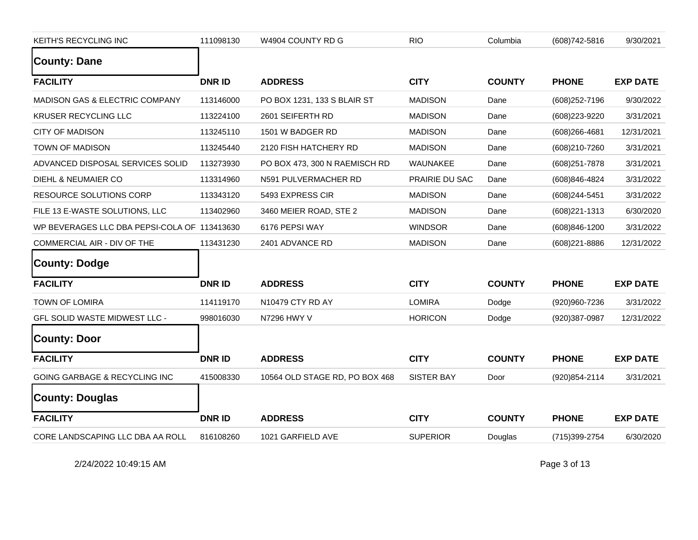| KEITH'S RECYCLING INC                        | 111098130     | W4904 COUNTY RD G              | <b>RIO</b>        | Columbia      | (608) 742-5816    | 9/30/2021       |
|----------------------------------------------|---------------|--------------------------------|-------------------|---------------|-------------------|-----------------|
| <b>County: Dane</b>                          |               |                                |                   |               |                   |                 |
| <b>FACILITY</b>                              | <b>DNR ID</b> | <b>ADDRESS</b>                 | <b>CITY</b>       | <b>COUNTY</b> | <b>PHONE</b>      | <b>EXP DATE</b> |
| <b>MADISON GAS &amp; ELECTRIC COMPANY</b>    | 113146000     | PO BOX 1231, 133 S BLAIR ST    | <b>MADISON</b>    | Dane          | (608) 252-7196    | 9/30/2022       |
| KRUSER RECYCLING LLC                         | 113224100     | 2601 SEIFERTH RD               | <b>MADISON</b>    | Dane          | (608) 223-9220    | 3/31/2021       |
| <b>CITY OF MADISON</b>                       | 113245110     | 1501 W BADGER RD               | <b>MADISON</b>    | Dane          | (608) 266-4681    | 12/31/2021      |
| TOWN OF MADISON                              | 113245440     | 2120 FISH HATCHERY RD          | <b>MADISON</b>    | Dane          | (608)210-7260     | 3/31/2021       |
| ADVANCED DISPOSAL SERVICES SOLID             | 113273930     | PO BOX 473, 300 N RAEMISCH RD  | WAUNAKEE          | Dane          | (608) 251-7878    | 3/31/2021       |
| DIEHL & NEUMAIER CO                          | 113314960     | N591 PULVERMACHER RD           | PRAIRIE DU SAC    | Dane          | (608)846-4824     | 3/31/2022       |
| RESOURCE SOLUTIONS CORP                      | 113343120     | 5493 EXPRESS CIR               | <b>MADISON</b>    | Dane          | (608)244-5451     | 3/31/2022       |
| FILE 13 E-WASTE SOLUTIONS, LLC               | 113402960     | 3460 MEIER ROAD, STE 2         | <b>MADISON</b>    | Dane          | (608) 221-1313    | 6/30/2020       |
| WP BEVERAGES LLC DBA PEPSI-COLA OF 113413630 |               | 6176 PEPSI WAY                 | <b>WINDSOR</b>    | Dane          | (608)846-1200     | 3/31/2022       |
| COMMERCIAL AIR - DIV OF THE                  | 113431230     | 2401 ADVANCE RD                | <b>MADISON</b>    | Dane          | $(608)221 - 8886$ | 12/31/2022      |
| County: Dodge                                |               |                                |                   |               |                   |                 |
| <b>FACILITY</b>                              | <b>DNRID</b>  | <b>ADDRESS</b>                 | <b>CITY</b>       | <b>COUNTY</b> | <b>PHONE</b>      | <b>EXP DATE</b> |
| <b>TOWN OF LOMIRA</b>                        | 114119170     | N10479 CTY RD AY               | <b>LOMIRA</b>     | Dodge         | (920)960-7236     | 3/31/2022       |
| GFL SOLID WASTE MIDWEST LLC -                | 998016030     | N7296 HWY V                    | <b>HORICON</b>    | Dodge         | (920)387-0987     | 12/31/2022      |
| <b>County: Door</b>                          |               |                                |                   |               |                   |                 |
| <b>FACILITY</b>                              | <b>DNRID</b>  | <b>ADDRESS</b>                 | <b>CITY</b>       | <b>COUNTY</b> | <b>PHONE</b>      | <b>EXP DATE</b> |
| <b>GOING GARBAGE &amp; RECYCLING INC</b>     | 415008330     | 10564 OLD STAGE RD, PO BOX 468 | <b>SISTER BAY</b> | Door          | (920) 854-2114    | 3/31/2021       |
| <b>County: Douglas</b>                       |               |                                |                   |               |                   |                 |
| <b>FACILITY</b>                              | <b>DNR ID</b> | <b>ADDRESS</b>                 | <b>CITY</b>       | <b>COUNTY</b> | <b>PHONE</b>      | <b>EXP DATE</b> |
| CORE LANDSCAPING LLC DBA AA ROLL             | 816108260     | 1021 GARFIELD AVE              | <b>SUPERIOR</b>   | Douglas       | (715) 399-2754    | 6/30/2020       |

2/24/2022 10:49:15 AM Page 3 of 13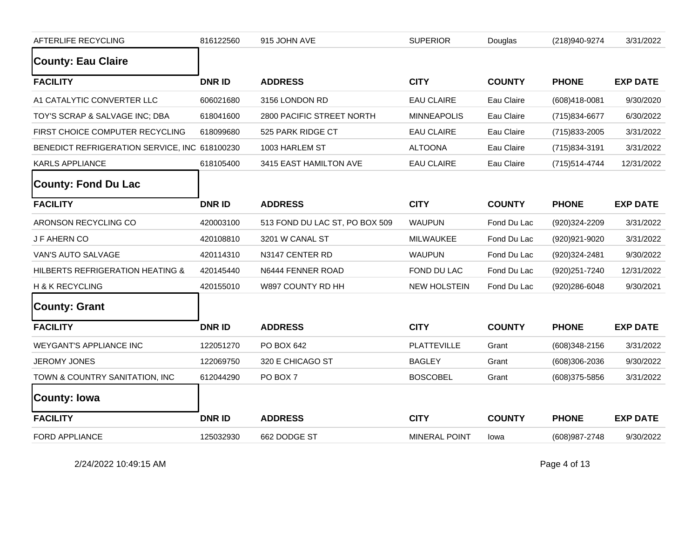| AFTERLIFE RECYCLING                           | 816122560     | 915 JOHN AVE                   | <b>SUPERIOR</b>      | Douglas       | (218)940-9274     | 3/31/2022       |
|-----------------------------------------------|---------------|--------------------------------|----------------------|---------------|-------------------|-----------------|
| <b>County: Eau Claire</b>                     |               |                                |                      |               |                   |                 |
| <b>FACILITY</b>                               | <b>DNR ID</b> | <b>ADDRESS</b>                 | <b>CITY</b>          | <b>COUNTY</b> | <b>PHONE</b>      | <b>EXP DATE</b> |
| A1 CATALYTIC CONVERTER LLC                    | 606021680     | 3156 LONDON RD                 | <b>EAU CLAIRE</b>    | Eau Claire    | (608)418-0081     | 9/30/2020       |
| TOY'S SCRAP & SALVAGE INC; DBA                | 618041600     | 2800 PACIFIC STREET NORTH      | <b>MINNEAPOLIS</b>   | Eau Claire    | (715)834-6677     | 6/30/2022       |
| FIRST CHOICE COMPUTER RECYCLING               | 618099680     | 525 PARK RIDGE CT              | <b>EAU CLAIRE</b>    | Eau Claire    | (715) 833-2005    | 3/31/2022       |
| BENEDICT REFRIGERATION SERVICE, INC 618100230 |               | 1003 HARLEM ST                 | <b>ALTOONA</b>       | Eau Claire    | (715) 834-3191    | 3/31/2022       |
| KARLS APPLIANCE                               | 618105400     | 3415 EAST HAMILTON AVE         | <b>EAU CLAIRE</b>    | Eau Claire    | (715) 514-4744    | 12/31/2022      |
| <b>County: Fond Du Lac</b>                    |               |                                |                      |               |                   |                 |
| <b>FACILITY</b>                               | <b>DNRID</b>  | <b>ADDRESS</b>                 | <b>CITY</b>          | <b>COUNTY</b> | <b>PHONE</b>      | <b>EXP DATE</b> |
| ARONSON RECYCLING CO                          | 420003100     | 513 FOND DU LAC ST, PO BOX 509 | <b>WAUPUN</b>        | Fond Du Lac   | (920)324-2209     | 3/31/2022       |
| J F AHERN CO                                  | 420108810     | 3201 W CANAL ST                | <b>MILWAUKEE</b>     | Fond Du Lac   | (920)921-9020     | 3/31/2022       |
| VAN'S AUTO SALVAGE                            | 420114310     | N3147 CENTER RD                | <b>WAUPUN</b>        | Fond Du Lac   | (920)324-2481     | 9/30/2022       |
| HILBERTS REFRIGERATION HEATING &              | 420145440     | N6444 FENNER ROAD              | FOND DU LAC          | Fond Du Lac   | (920) 251-7240    | 12/31/2022      |
| H & K RECYCLING                               | 420155010     | W897 COUNTY RD HH              | <b>NEW HOLSTEIN</b>  | Fond Du Lac   | (920)286-6048     | 9/30/2021       |
| <b>County: Grant</b>                          |               |                                |                      |               |                   |                 |
| <b>FACILITY</b>                               | <b>DNRID</b>  | <b>ADDRESS</b>                 | <b>CITY</b>          | <b>COUNTY</b> | <b>PHONE</b>      | <b>EXP DATE</b> |
| <b>WEYGANT'S APPLIANCE INC</b>                | 122051270     | PO BOX 642                     | <b>PLATTEVILLE</b>   | Grant         | $(608)348 - 2156$ | 3/31/2022       |
| <b>JEROMY JONES</b>                           | 122069750     | 320 E CHICAGO ST               | <b>BAGLEY</b>        | Grant         | (608)306-2036     | 9/30/2022       |
| TOWN & COUNTRY SANITATION, INC                | 612044290     | PO BOX 7                       | <b>BOSCOBEL</b>      | Grant         | $(608)375 - 5856$ | 3/31/2022       |
| <b>County: Iowa</b>                           |               |                                |                      |               |                   |                 |
| <b>FACILITY</b>                               | <b>DNRID</b>  | <b>ADDRESS</b>                 | <b>CITY</b>          | <b>COUNTY</b> | <b>PHONE</b>      | <b>EXP DATE</b> |
| <b>FORD APPLIANCE</b>                         | 125032930     | 662 DODGE ST                   | <b>MINERAL POINT</b> | lowa          | (608) 987-2748    | 9/30/2022       |

2/24/2022 10:49:15 AM Page 4 of 13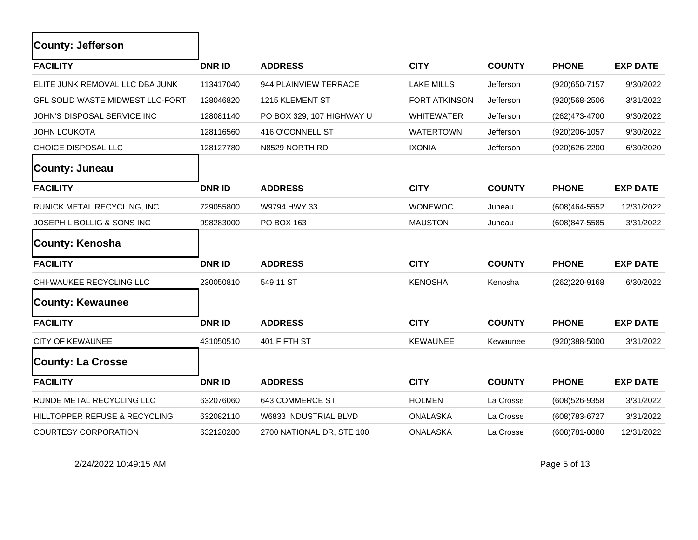| <b>County: Jefferson</b>                |               |                           |                      |               |                   |                 |
|-----------------------------------------|---------------|---------------------------|----------------------|---------------|-------------------|-----------------|
| <b>FACILITY</b>                         | <b>DNR ID</b> | <b>ADDRESS</b>            | <b>CITY</b>          | <b>COUNTY</b> | <b>PHONE</b>      | <b>EXP DATE</b> |
| ELITE JUNK REMOVAL LLC DBA JUNK         | 113417040     | 944 PLAINVIEW TERRACE     | <b>LAKE MILLS</b>    | Jefferson     | (920) 650-7157    | 9/30/2022       |
| <b>GFL SOLID WASTE MIDWEST LLC-FORT</b> | 128046820     | 1215 KLEMENT ST           | <b>FORT ATKINSON</b> | Jefferson     | $(920)568 - 2506$ | 3/31/2022       |
| JOHN'S DISPOSAL SERVICE INC             | 128081140     | PO BOX 329, 107 HIGHWAY U | <b>WHITEWATER</b>    | Jefferson     | (262)473-4700     | 9/30/2022       |
| <b>JOHN LOUKOTA</b>                     | 128116560     | 416 O'CONNELL ST          | <b>WATERTOWN</b>     | Jefferson     | (920)206-1057     | 9/30/2022       |
| CHOICE DISPOSAL LLC                     | 128127780     | N8529 NORTH RD            | <b>IXONIA</b>        | Jefferson     | (920)626-2200     | 6/30/2020       |
| County: Juneau                          |               |                           |                      |               |                   |                 |
| <b>FACILITY</b>                         | <b>DNRID</b>  | <b>ADDRESS</b>            | <b>CITY</b>          | <b>COUNTY</b> | <b>PHONE</b>      | <b>EXP DATE</b> |
| RUNICK METAL RECYCLING, INC             | 729055800     | W9794 HWY 33              | <b>WONEWOC</b>       | Juneau        | (608)464-5552     | 12/31/2022      |
| JOSEPH L BOLLIG & SONS INC              | 998283000     | PO BOX 163                | <b>MAUSTON</b>       | Juneau        | (608) 847-5585    | 3/31/2022       |
| County: Kenosha                         |               |                           |                      |               |                   |                 |
| <b>FACILITY</b>                         | <b>DNR ID</b> | <b>ADDRESS</b>            | <b>CITY</b>          | <b>COUNTY</b> | <b>PHONE</b>      | <b>EXP DATE</b> |
| CHI-WAUKEE RECYCLING LLC                | 230050810     | 549 11 ST                 | <b>KENOSHA</b>       | Kenosha       | (262) 220-9168    | 6/30/2022       |
| <b>County: Kewaunee</b>                 |               |                           |                      |               |                   |                 |
| <b>FACILITY</b>                         | <b>DNRID</b>  | <b>ADDRESS</b>            | <b>CITY</b>          | <b>COUNTY</b> | <b>PHONE</b>      | <b>EXP DATE</b> |
| <b>CITY OF KEWAUNEE</b>                 | 431050510     | 401 FIFTH ST              | <b>KEWAUNEE</b>      | Kewaunee      | $(920)388 - 5000$ | 3/31/2022       |
| <b>County: La Crosse</b>                |               |                           |                      |               |                   |                 |
| <b>FACILITY</b>                         | <b>DNR ID</b> | <b>ADDRESS</b>            | <b>CITY</b>          | <b>COUNTY</b> | <b>PHONE</b>      | <b>EXP DATE</b> |
| RUNDE METAL RECYCLING LLC               | 632076060     | 643 COMMERCE ST           | <b>HOLMEN</b>        | La Crosse     | (608) 526-9358    | 3/31/2022       |
| HILLTOPPER REFUSE & RECYCLING           | 632082110     | W6833 INDUSTRIAL BLVD     | <b>ONALASKA</b>      | La Crosse     | (608) 783-6727    | 3/31/2022       |
| <b>COURTESY CORPORATION</b>             | 632120280     | 2700 NATIONAL DR, STE 100 | <b>ONALASKA</b>      | La Crosse     | (608) 781-8080    | 12/31/2022      |

2/24/2022 10:49:15 AM Page 5 of 13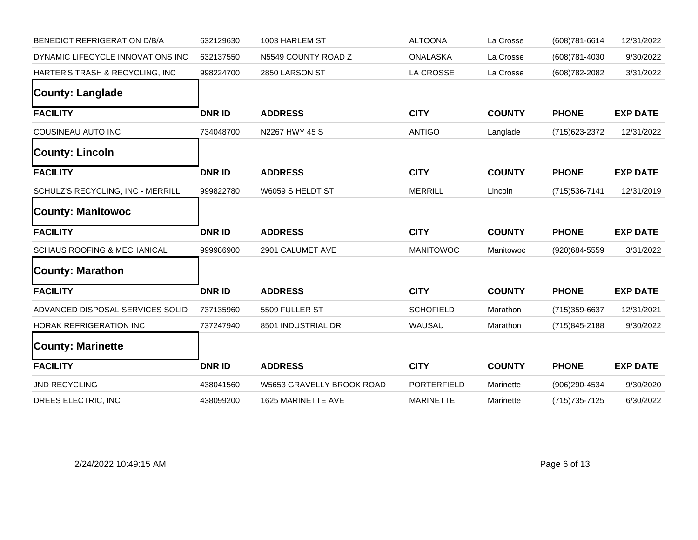| BENEDICT REFRIGERATION D/B/A           | 632129630     | 1003 HARLEM ST            | <b>ALTOONA</b>   | La Crosse     | (608) 781-6614 | 12/31/2022      |
|----------------------------------------|---------------|---------------------------|------------------|---------------|----------------|-----------------|
| DYNAMIC LIFECYCLE INNOVATIONS INC      | 632137550     | N5549 COUNTY ROAD Z       | <b>ONALASKA</b>  | La Crosse     | (608) 781-4030 | 9/30/2022       |
| HARTER'S TRASH & RECYCLING, INC        | 998224700     | 2850 LARSON ST            | LA CROSSE        | La Crosse     | (608) 782-2082 | 3/31/2022       |
| <b>County: Langlade</b>                |               |                           |                  |               |                |                 |
| <b>FACILITY</b>                        | <b>DNR ID</b> | <b>ADDRESS</b>            | <b>CITY</b>      | <b>COUNTY</b> | <b>PHONE</b>   | <b>EXP DATE</b> |
| COUSINEAU AUTO INC                     | 734048700     | N2267 HWY 45 S            | <b>ANTIGO</b>    | Langlade      | (715) 623-2372 | 12/31/2022      |
| <b>County: Lincoln</b>                 |               |                           |                  |               |                |                 |
| <b>FACILITY</b>                        | <b>DNR ID</b> | <b>ADDRESS</b>            | <b>CITY</b>      | <b>COUNTY</b> | <b>PHONE</b>   | <b>EXP DATE</b> |
| SCHULZ'S RECYCLING, INC - MERRILL      | 999822780     | W6059 S HELDT ST          | <b>MERRILL</b>   | Lincoln       | (715) 536-7141 | 12/31/2019      |
| <b>County: Manitowoc</b>               |               |                           |                  |               |                |                 |
|                                        |               |                           |                  |               |                |                 |
| <b>FACILITY</b>                        | <b>DNR ID</b> | <b>ADDRESS</b>            | <b>CITY</b>      | <b>COUNTY</b> | <b>PHONE</b>   | <b>EXP DATE</b> |
| <b>SCHAUS ROOFING &amp; MECHANICAL</b> | 999986900     | 2901 CALUMET AVE          | <b>MANITOWOC</b> | Manitowoc     | (920)684-5559  | 3/31/2022       |
| <b>County: Marathon</b>                |               |                           |                  |               |                |                 |
| <b>FACILITY</b>                        | <b>DNR ID</b> | <b>ADDRESS</b>            | <b>CITY</b>      | <b>COUNTY</b> | <b>PHONE</b>   | <b>EXP DATE</b> |
| ADVANCED DISPOSAL SERVICES SOLID       | 737135960     | 5509 FULLER ST            | <b>SCHOFIELD</b> | Marathon      | (715) 359-6637 | 12/31/2021      |
| HORAK REFRIGERATION INC                | 737247940     | 8501 INDUSTRIAL DR        | WAUSAU           | Marathon      | (715)845-2188  | 9/30/2022       |
| <b>County: Marinette</b>               |               |                           |                  |               |                |                 |
| <b>FACILITY</b>                        | <b>DNRID</b>  | <b>ADDRESS</b>            | <b>CITY</b>      | <b>COUNTY</b> | <b>PHONE</b>   | <b>EXP DATE</b> |
| JND RECYCLING                          | 438041560     | W5653 GRAVELLY BROOK ROAD | PORTERFIELD      | Marinette     | (906)290-4534  | 9/30/2020       |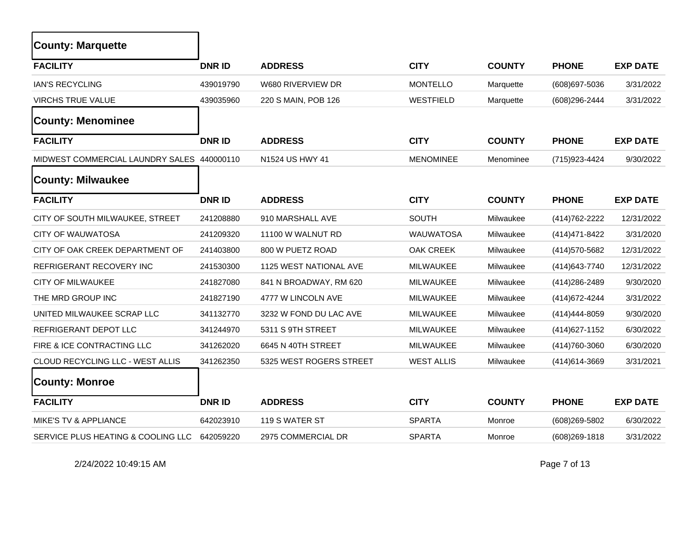| <b>County: Marquette</b>                   |              |                         |                   |               |                |                 |
|--------------------------------------------|--------------|-------------------------|-------------------|---------------|----------------|-----------------|
| <b>FACILITY</b>                            | <b>DNRID</b> | <b>ADDRESS</b>          | <b>CITY</b>       | <b>COUNTY</b> | <b>PHONE</b>   | <b>EXP DATE</b> |
| <b>IAN'S RECYCLING</b>                     | 439019790    | W680 RIVERVIEW DR       | <b>MONTELLO</b>   | Marquette     | (608) 697-5036 | 3/31/2022       |
| <b>VIRCHS TRUE VALUE</b>                   | 439035960    | 220 S MAIN, POB 126     | WESTFIELD         | Marquette     | (608)296-2444  | 3/31/2022       |
| <b>County: Menominee</b>                   |              |                         |                   |               |                |                 |
| <b>FACILITY</b>                            | <b>DNRID</b> | <b>ADDRESS</b>          | <b>CITY</b>       | <b>COUNTY</b> | <b>PHONE</b>   | <b>EXP DATE</b> |
| MIDWEST COMMERCIAL LAUNDRY SALES 440000110 |              | N1524 US HWY 41         | <b>MENOMINEE</b>  | Menominee     | (715) 923-4424 | 9/30/2022       |
| <b>County: Milwaukee</b>                   |              |                         |                   |               |                |                 |
| <b>FACILITY</b>                            | <b>DNRID</b> | <b>ADDRESS</b>          | <b>CITY</b>       | <b>COUNTY</b> | <b>PHONE</b>   | <b>EXP DATE</b> |
| CITY OF SOUTH MILWAUKEE, STREET            | 241208880    | 910 MARSHALL AVE        | SOUTH             | Milwaukee     | (414) 762-2222 | 12/31/2022      |
| <b>CITY OF WAUWATOSA</b>                   | 241209320    | 11100 W WALNUT RD       | <b>WAUWATOSA</b>  | Milwaukee     | (414) 471-8422 | 3/31/2020       |
| CITY OF OAK CREEK DEPARTMENT OF            | 241403800    | 800 W PUETZ ROAD        | OAK CREEK         | Milwaukee     | (414) 570-5682 | 12/31/2022      |
| REFRIGERANT RECOVERY INC                   | 241530300    | 1125 WEST NATIONAL AVE  | <b>MILWAUKEE</b>  | Milwaukee     | (414) 643-7740 | 12/31/2022      |
| <b>CITY OF MILWAUKEE</b>                   | 241827080    | 841 N BROADWAY, RM 620  | MILWAUKEE         | Milwaukee     | (414) 286-2489 | 9/30/2020       |
| THE MRD GROUP INC                          | 241827190    | 4777 W LINCOLN AVE      | <b>MILWAUKEE</b>  | Milwaukee     | (414) 672-4244 | 3/31/2022       |
| UNITED MILWAUKEE SCRAP LLC                 | 341132770    | 3232 W FOND DU LAC AVE  | <b>MILWAUKEE</b>  | Milwaukee     | (414) 444-8059 | 9/30/2020       |
| REFRIGERANT DEPOT LLC                      | 341244970    | 5311 S 9TH STREET       | <b>MILWAUKEE</b>  | Milwaukee     | (414) 627-1152 | 6/30/2022       |
| FIRE & ICE CONTRACTING LLC                 | 341262020    | 6645 N 40TH STREET      | <b>MILWAUKEE</b>  | Milwaukee     | (414) 760-3060 | 6/30/2020       |
| CLOUD RECYCLING LLC - WEST ALLIS           | 341262350    | 5325 WEST ROGERS STREET | <b>WEST ALLIS</b> | Milwaukee     | (414) 614-3669 | 3/31/2021       |
| <b>County: Monroe</b>                      |              |                         |                   |               |                |                 |
| <b>FACILITY</b>                            | <b>DNRID</b> | <b>ADDRESS</b>          | <b>CITY</b>       | <b>COUNTY</b> | <b>PHONE</b>   | <b>EXP DATE</b> |
| MIKE'S TV & APPLIANCE                      | 642023910    | 119 S WATER ST          | <b>SPARTA</b>     | Monroe        | (608)269-5802  | 6/30/2022       |
| SERVICE PLUS HEATING & COOLING LLC         | 642059220    | 2975 COMMERCIAL DR      | <b>SPARTA</b>     | Monroe        | (608) 269-1818 | 3/31/2022       |

2/24/2022 10:49:15 AM Page 7 of 13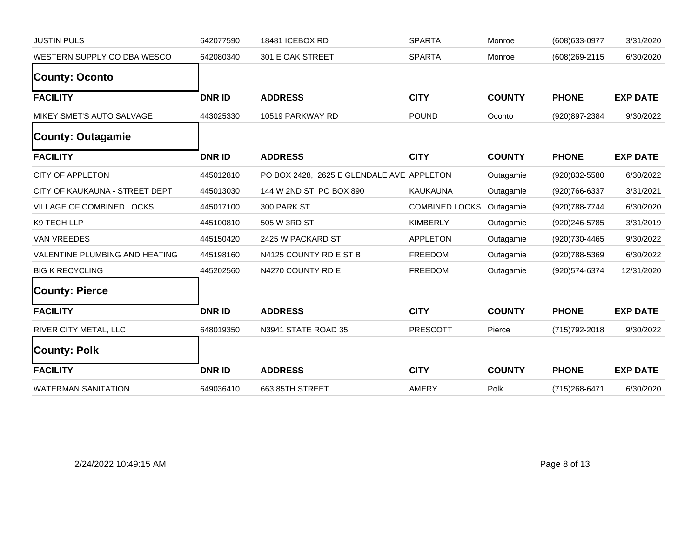| <b>JUSTIN PULS</b>             | 642077590     | 18481 ICEBOX RD                           | <b>SPARTA</b>         | Monroe        | (608) 633-0977 | 3/31/2020       |
|--------------------------------|---------------|-------------------------------------------|-----------------------|---------------|----------------|-----------------|
| WESTERN SUPPLY CO DBA WESCO    | 642080340     | 301 E OAK STREET                          | <b>SPARTA</b>         | Monroe        | (608) 269-2115 | 6/30/2020       |
| <b>County: Oconto</b>          |               |                                           |                       |               |                |                 |
| <b>FACILITY</b>                | <b>DNRID</b>  | <b>ADDRESS</b>                            | <b>CITY</b>           | <b>COUNTY</b> | <b>PHONE</b>   | <b>EXP DATE</b> |
| MIKEY SMET'S AUTO SALVAGE      | 443025330     | 10519 PARKWAY RD                          | <b>POUND</b>          | Oconto        | (920)897-2384  | 9/30/2022       |
| <b>County: Outagamie</b>       |               |                                           |                       |               |                |                 |
| <b>FACILITY</b>                | <b>DNRID</b>  | <b>ADDRESS</b>                            | <b>CITY</b>           | <b>COUNTY</b> | <b>PHONE</b>   | <b>EXP DATE</b> |
| <b>CITY OF APPLETON</b>        | 445012810     | PO BOX 2428, 2625 E GLENDALE AVE APPLETON |                       | Outagamie     | (920)832-5580  | 6/30/2022       |
| CITY OF KAUKAUNA - STREET DEPT | 445013030     | 144 W 2ND ST, PO BOX 890                  | <b>KAUKAUNA</b>       | Outagamie     | (920) 766-6337 | 3/31/2021       |
| VILLAGE OF COMBINED LOCKS      | 445017100     | 300 PARK ST                               | <b>COMBINED LOCKS</b> | Outagamie     | (920) 788-7744 | 6/30/2020       |
| K9 TECH LLP                    | 445100810     | 505 W 3RD ST                              | <b>KIMBERLY</b>       | Outagamie     | (920)246-5785  | 3/31/2019       |
| <b>VAN VREEDES</b>             | 445150420     | 2425 W PACKARD ST                         | <b>APPLETON</b>       | Outagamie     | (920)730-4465  | 9/30/2022       |
| VALENTINE PLUMBING AND HEATING | 445198160     | N4125 COUNTY RD E ST B                    | <b>FREEDOM</b>        | Outagamie     | (920) 788-5369 | 6/30/2022       |
| <b>BIG K RECYCLING</b>         | 445202560     | N4270 COUNTY RD E                         | FREEDOM               | Outagamie     | (920) 574-6374 | 12/31/2020      |
| <b>County: Pierce</b>          |               |                                           |                       |               |                |                 |
| <b>FACILITY</b>                | <b>DNR ID</b> | <b>ADDRESS</b>                            | <b>CITY</b>           | <b>COUNTY</b> | <b>PHONE</b>   | <b>EXP DATE</b> |
| RIVER CITY METAL, LLC          | 648019350     | N3941 STATE ROAD 35                       | <b>PRESCOTT</b>       | Pierce        | (715) 792-2018 | 9/30/2022       |
| <b>County: Polk</b>            |               |                                           |                       |               |                |                 |
| <b>FACILITY</b>                | <b>DNR ID</b> | <b>ADDRESS</b>                            | <b>CITY</b>           | <b>COUNTY</b> | <b>PHONE</b>   | <b>EXP DATE</b> |
| <b>WATERMAN SANITATION</b>     | 649036410     | 663 85TH STREET                           | <b>AMERY</b>          | Polk          | (715) 268-6471 | 6/30/2020       |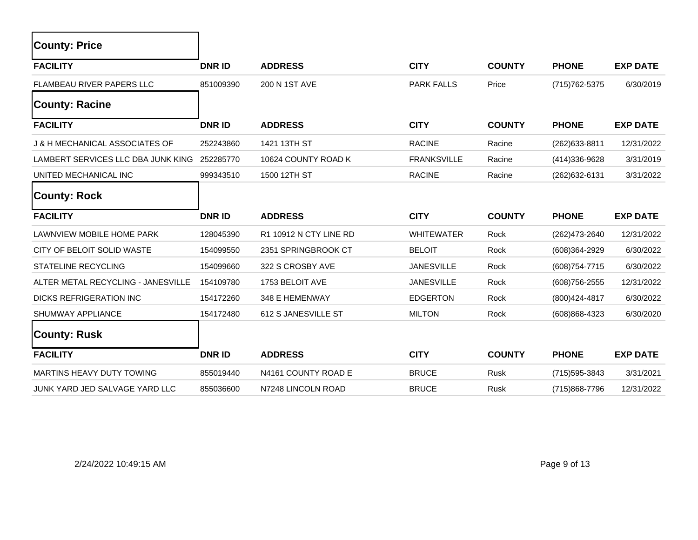| <b>County: Price</b>               |               |                        |                    |               |                |                 |
|------------------------------------|---------------|------------------------|--------------------|---------------|----------------|-----------------|
| <b>FACILITY</b>                    | <b>DNR ID</b> | <b>ADDRESS</b>         | <b>CITY</b>        | <b>COUNTY</b> | <b>PHONE</b>   | <b>EXP DATE</b> |
| FLAMBEAU RIVER PAPERS LLC          | 851009390     | 200 N 1ST AVE          | <b>PARK FALLS</b>  | Price         | (715) 762-5375 | 6/30/2019       |
| <b>County: Racine</b>              |               |                        |                    |               |                |                 |
| <b>FACILITY</b>                    | <b>DNR ID</b> | <b>ADDRESS</b>         | <b>CITY</b>        | <b>COUNTY</b> | <b>PHONE</b>   | <b>EXP DATE</b> |
| J & H MECHANICAL ASSOCIATES OF     | 252243860     | 1421 13TH ST           | <b>RACINE</b>      | Racine        | (262) 633-8811 | 12/31/2022      |
| LAMBERT SERVICES LLC DBA JUNK KING | 252285770     | 10624 COUNTY ROAD K    | <b>FRANKSVILLE</b> | Racine        | (414) 336-9628 | 3/31/2019       |
| UNITED MECHANICAL INC              | 999343510     | 1500 12TH ST           | <b>RACINE</b>      | Racine        | (262) 632-6131 | 3/31/2022       |
| <b>County: Rock</b>                |               |                        |                    |               |                |                 |
| <b>FACILITY</b>                    | <b>DNRID</b>  | <b>ADDRESS</b>         | <b>CITY</b>        | <b>COUNTY</b> | <b>PHONE</b>   | <b>EXP DATE</b> |
| LAWNVIEW MOBILE HOME PARK          | 128045390     | R1 10912 N CTY LINE RD | <b>WHITEWATER</b>  | Rock          | (262)473-2640  | 12/31/2022      |
| CITY OF BELOIT SOLID WASTE         | 154099550     | 2351 SPRINGBROOK CT    | <b>BELOIT</b>      | Rock          | (608)364-2929  | 6/30/2022       |
| STATELINE RECYCLING                | 154099660     | 322 S CROSBY AVE       | <b>JANESVILLE</b>  | Rock          | (608) 754-7715 | 6/30/2022       |
| ALTER METAL RECYCLING - JANESVILLE | 154109780     | 1753 BELOIT AVE        | <b>JANESVILLE</b>  | Rock          | (608) 756-2555 | 12/31/2022      |
| DICKS REFRIGERATION INC            | 154172260     | 348 E HEMENWAY         | <b>EDGERTON</b>    | Rock          | (800) 424-4817 | 6/30/2022       |
| SHUMWAY APPLIANCE                  | 154172480     | 612 S JANESVILLE ST    | <b>MILTON</b>      | Rock          | (608)868-4323  | 6/30/2020       |
| <b>County: Rusk</b>                |               |                        |                    |               |                |                 |
| <b>FACILITY</b>                    | <b>DNR ID</b> | <b>ADDRESS</b>         | <b>CITY</b>        | <b>COUNTY</b> | <b>PHONE</b>   | <b>EXP DATE</b> |
| MARTINS HEAVY DUTY TOWING          | 855019440     | N4161 COUNTY ROAD E    | <b>BRUCE</b>       | <b>Rusk</b>   | (715) 595-3843 | 3/31/2021       |
| JUNK YARD JED SALVAGE YARD LLC     | 855036600     | N7248 LINCOLN ROAD     | <b>BRUCE</b>       | Rusk          | (715)868-7796  | 12/31/2022      |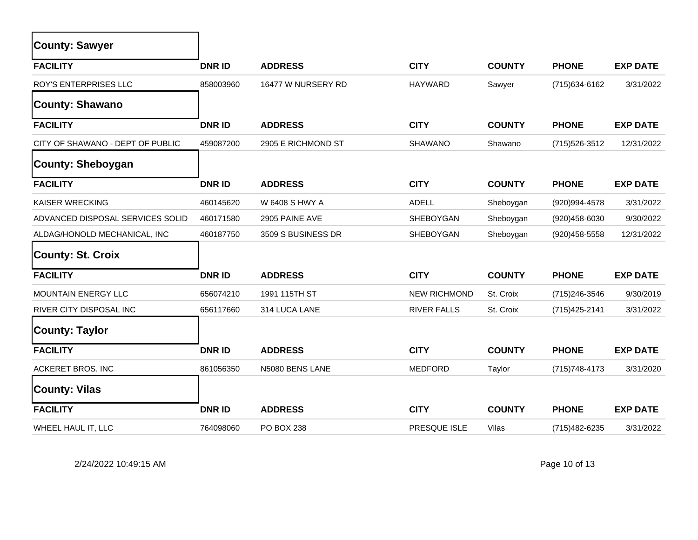| <b>County: Sawyer</b>            |               |                    |                     |               |                |                 |
|----------------------------------|---------------|--------------------|---------------------|---------------|----------------|-----------------|
| <b>FACILITY</b>                  | <b>DNR ID</b> | <b>ADDRESS</b>     | <b>CITY</b>         | <b>COUNTY</b> | <b>PHONE</b>   | <b>EXP DATE</b> |
| ROY'S ENTERPRISES LLC            | 858003960     | 16477 W NURSERY RD | <b>HAYWARD</b>      | Sawyer        | (715) 634-6162 | 3/31/2022       |
| <b>County: Shawano</b>           |               |                    |                     |               |                |                 |
| <b>FACILITY</b>                  | <b>DNRID</b>  | <b>ADDRESS</b>     | <b>CITY</b>         | <b>COUNTY</b> | <b>PHONE</b>   | <b>EXP DATE</b> |
| CITY OF SHAWANO - DEPT OF PUBLIC | 459087200     | 2905 E RICHMOND ST | <b>SHAWANO</b>      | Shawano       | (715) 526-3512 | 12/31/2022      |
| <b>County: Sheboygan</b>         |               |                    |                     |               |                |                 |
| <b>FACILITY</b>                  | <b>DNR ID</b> | <b>ADDRESS</b>     | <b>CITY</b>         | <b>COUNTY</b> | <b>PHONE</b>   | <b>EXP DATE</b> |
| KAISER WRECKING                  | 460145620     | W 6408 S HWY A     | <b>ADELL</b>        | Sheboygan     | (920)994-4578  | 3/31/2022       |
| ADVANCED DISPOSAL SERVICES SOLID | 460171580     | 2905 PAINE AVE     | SHEBOYGAN           | Sheboygan     | (920)458-6030  | 9/30/2022       |
| ALDAG/HONOLD MECHANICAL, INC     | 460187750     | 3509 S BUSINESS DR | <b>SHEBOYGAN</b>    | Sheboygan     | (920) 458-5558 | 12/31/2022      |
| <b>County: St. Croix</b>         |               |                    |                     |               |                |                 |
| <b>FACILITY</b>                  | <b>DNRID</b>  | <b>ADDRESS</b>     | <b>CITY</b>         | <b>COUNTY</b> | <b>PHONE</b>   | <b>EXP DATE</b> |
| MOUNTAIN ENERGY LLC              | 656074210     | 1991 115TH ST      | <b>NEW RICHMOND</b> | St. Croix     | (715) 246-3546 | 9/30/2019       |
| <b>RIVER CITY DISPOSAL INC</b>   | 656117660     | 314 LUCA LANE      | <b>RIVER FALLS</b>  | St. Croix     | (715) 425-2141 | 3/31/2022       |
| <b>County: Taylor</b>            |               |                    |                     |               |                |                 |
| <b>FACILITY</b>                  | <b>DNRID</b>  | <b>ADDRESS</b>     | <b>CITY</b>         | <b>COUNTY</b> | <b>PHONE</b>   | <b>EXP DATE</b> |
| <b>ACKERET BROS. INC</b>         | 861056350     | N5080 BENS LANE    | <b>MEDFORD</b>      | Taylor        | (715) 748-4173 | 3/31/2020       |
| <b>County: Vilas</b>             |               |                    |                     |               |                |                 |
| <b>FACILITY</b>                  | <b>DNRID</b>  | <b>ADDRESS</b>     | <b>CITY</b>         | <b>COUNTY</b> | <b>PHONE</b>   | <b>EXP DATE</b> |
| WHEEL HAUL IT, LLC               | 764098060     | PO BOX 238         | PRESQUE ISLE        | Vilas         | (715) 482-6235 | 3/31/2022       |

2/24/2022 10:49:15 AM Page 10 of 13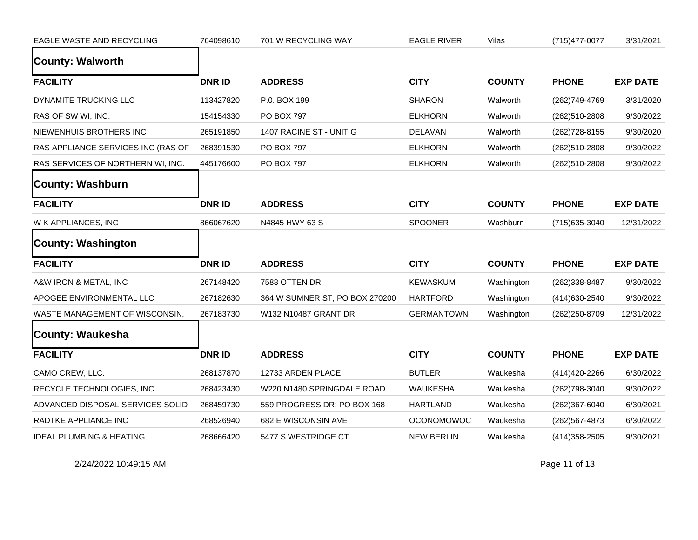| EAGLE WASTE AND RECYCLING           | 764098610    | 701 W RECYCLING WAY            | <b>EAGLE RIVER</b> | Vilas         | (715) 477-0077 | 3/31/2021       |
|-------------------------------------|--------------|--------------------------------|--------------------|---------------|----------------|-----------------|
| <b>County: Walworth</b>             |              |                                |                    |               |                |                 |
| <b>FACILITY</b>                     | <b>DNRID</b> | <b>ADDRESS</b>                 | <b>CITY</b>        | <b>COUNTY</b> | <b>PHONE</b>   | <b>EXP DATE</b> |
| DYNAMITE TRUCKING LLC               | 113427820    | P.0. BOX 199                   | <b>SHARON</b>      | Walworth      | (262)749-4769  | 3/31/2020       |
| RAS OF SW WI, INC.                  | 154154330    | PO BOX 797                     | <b>ELKHORN</b>     | Walworth      | (262)510-2808  | 9/30/2022       |
| NIEWENHUIS BROTHERS INC             | 265191850    | 1407 RACINE ST - UNIT G        | <b>DELAVAN</b>     | Walworth      | (262) 728-8155 | 9/30/2020       |
| RAS APPLIANCE SERVICES INC (RAS OF  | 268391530    | PO BOX 797                     | <b>ELKHORN</b>     | Walworth      | (262)510-2808  | 9/30/2022       |
| RAS SERVICES OF NORTHERN WI, INC.   | 445176600    | PO BOX 797                     | <b>ELKHORN</b>     | Walworth      | (262)510-2808  | 9/30/2022       |
| <b>County: Washburn</b>             |              |                                |                    |               |                |                 |
| <b>FACILITY</b>                     | <b>DNRID</b> | <b>ADDRESS</b>                 | <b>CITY</b>        | <b>COUNTY</b> | <b>PHONE</b>   | <b>EXP DATE</b> |
| W K APPLIANCES, INC                 | 866067620    | N4845 HWY 63 S                 | <b>SPOONER</b>     | Washburn      | (715) 635-3040 | 12/31/2022      |
| <b>County: Washington</b>           |              |                                |                    |               |                |                 |
| <b>FACILITY</b>                     | <b>DNRID</b> | <b>ADDRESS</b>                 | <b>CITY</b>        | <b>COUNTY</b> | <b>PHONE</b>   | <b>EXP DATE</b> |
| A&W IRON & METAL, INC               | 267148420    | 7588 OTTEN DR                  | <b>KEWASKUM</b>    | Washington    | (262)338-8487  | 9/30/2022       |
| APOGEE ENVIRONMENTAL LLC            | 267182630    | 364 W SUMNER ST, PO BOX 270200 | <b>HARTFORD</b>    | Washington    | (414) 630-2540 | 9/30/2022       |
| WASTE MANAGEMENT OF WISCONSIN,      | 267183730    | W132 N10487 GRANT DR           | <b>GERMANTOWN</b>  | Washington    | (262) 250-8709 | 12/31/2022      |
| <b>County: Waukesha</b>             |              |                                |                    |               |                |                 |
| <b>FACILITY</b>                     | <b>DNRID</b> | <b>ADDRESS</b>                 | <b>CITY</b>        | <b>COUNTY</b> | <b>PHONE</b>   | <b>EXP DATE</b> |
| CAMO CREW, LLC.                     | 268137870    | 12733 ARDEN PLACE              | <b>BUTLER</b>      | Waukesha      | (414) 420-2266 | 6/30/2022       |
| RECYCLE TECHNOLOGIES, INC.          | 268423430    | W220 N1480 SPRINGDALE ROAD     | <b>WAUKESHA</b>    | Waukesha      | (262)798-3040  | 9/30/2022       |
| ADVANCED DISPOSAL SERVICES SOLID    | 268459730    | 559 PROGRESS DR; PO BOX 168    | <b>HARTLAND</b>    | Waukesha      | (262)367-6040  | 6/30/2021       |
| RADTKE APPLIANCE INC                | 268526940    | 682 E WISCONSIN AVE            | <b>OCONOMOWOC</b>  | Waukesha      | (262) 567-4873 | 6/30/2022       |
| <b>IDEAL PLUMBING &amp; HEATING</b> | 268666420    | 5477 S WESTRIDGE CT            | <b>NEW BERLIN</b>  | Waukesha      | (414) 358-2505 | 9/30/2021       |

2/24/2022 10:49:15 AM Page 11 of 13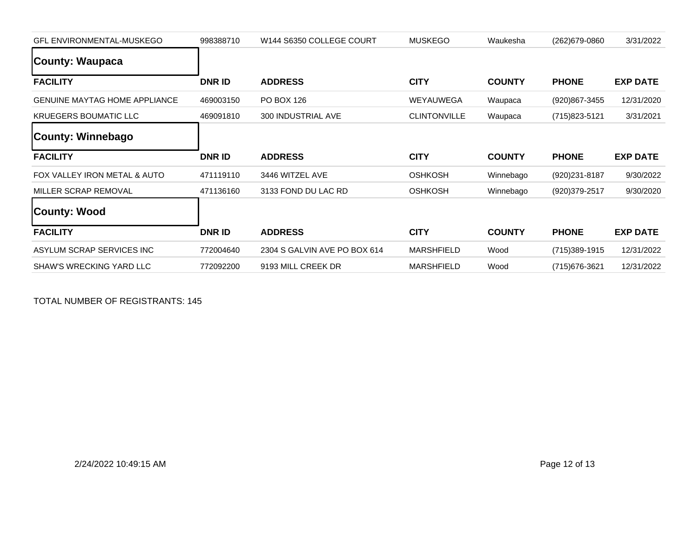| <b>GFL ENVIRONMENTAL-MUSKEGO</b>     | 998388710     | W144 S6350 COLLEGE COURT     | <b>MUSKEGO</b>      | Waukesha      | (262) 679-0860  | 3/31/2022       |
|--------------------------------------|---------------|------------------------------|---------------------|---------------|-----------------|-----------------|
| County: Waupaca                      |               |                              |                     |               |                 |                 |
| <b>FACILITY</b>                      | <b>DNR ID</b> | <b>ADDRESS</b>               | <b>CITY</b>         | <b>COUNTY</b> | <b>PHONE</b>    | <b>EXP DATE</b> |
| <b>GENUINE MAYTAG HOME APPLIANCE</b> | 469003150     | PO BOX 126                   | <b>WEYAUWEGA</b>    | Waupaca       | (920)867-3455   | 12/31/2020      |
| <b>KRUEGERS BOUMATIC LLC</b>         | 469091810     | 300 INDUSTRIAL AVE           | <b>CLINTONVILLE</b> | Waupaca       | (715) 823-5121  | 3/31/2021       |
| <b>County: Winnebago</b>             |               |                              |                     |               |                 |                 |
| <b>FACILITY</b>                      | <b>DNR ID</b> | <b>ADDRESS</b>               | <b>CITY</b>         | <b>COUNTY</b> | <b>PHONE</b>    | <b>EXP DATE</b> |
|                                      |               |                              |                     |               |                 |                 |
| FOX VALLEY IRON METAL & AUTO         | 471119110     | 3446 WITZEL AVE              | <b>OSHKOSH</b>      | Winnebago     | (920) 231-8187  | 9/30/2022       |
| MILLER SCRAP REMOVAL                 | 471136160     | 3133 FOND DU LAC RD          | <b>OSHKOSH</b>      | Winnebago     | (920)379-2517   | 9/30/2020       |
| <b>County: Wood</b>                  |               |                              |                     |               |                 |                 |
| <b>FACILITY</b>                      | <b>DNR ID</b> | <b>ADDRESS</b>               | <b>CITY</b>         | <b>COUNTY</b> | <b>PHONE</b>    | <b>EXP DATE</b> |
| ASYLUM SCRAP SERVICES INC            | 772004640     | 2304 S GALVIN AVE PO BOX 614 | <b>MARSHFIELD</b>   | Wood          | $(715)389-1915$ | 12/31/2022      |

TOTAL NUMBER OF REGISTRANTS: 145